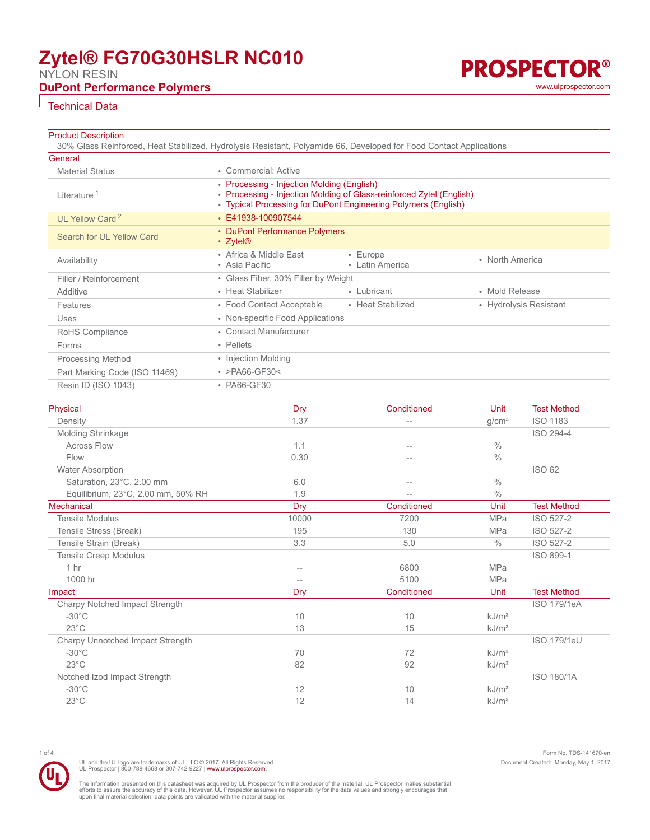# **Zytel® FG70G30HSLR NC010**

NYLON RESIN

# **DuPont Performance Polymers** and the contract of the contract of the contract of the contract of the contract of the contract of the contract of the contract of the contract of the contract of the contract of the contract

**PROSPECTOR®** 

## Technical Data

### **Product Description**

| 30% Glass Reinforced, Heat Stabilized, Hydrolysis Resistant, Polyamide 66, Developed for Food Contact Applications<br>General |                                                                                                                                                                                      |                                   |                        |
|-------------------------------------------------------------------------------------------------------------------------------|--------------------------------------------------------------------------------------------------------------------------------------------------------------------------------------|-----------------------------------|------------------------|
| <b>Material Status</b>                                                                                                        | • Commercial: Active                                                                                                                                                                 |                                   |                        |
| Literature <sup>1</sup>                                                                                                       | • Processing - Injection Molding (English)<br>• Processing - Injection Molding of Glass-reinforced Zytel (English)<br>• Typical Processing for DuPont Engineering Polymers (English) |                                   |                        |
| UL Yellow Card <sup>2</sup>                                                                                                   | E41938-100907544                                                                                                                                                                     |                                   |                        |
| Search for UL Yellow Card                                                                                                     | • DuPont Performance Polymers<br>• Zytel <sup>®</sup>                                                                                                                                |                                   |                        |
| Availability                                                                                                                  | • Africa & Middle East<br>• Asia Pacific                                                                                                                                             | $\cdot$ Europe<br>• Latin America | • North America        |
| Filler / Reinforcement                                                                                                        | • Glass Fiber, 30% Filler by Weight                                                                                                                                                  |                                   |                        |
| Additive                                                                                                                      | • Heat Stabilizer                                                                                                                                                                    | • Lubricant                       | • Mold Release         |
| Features                                                                                                                      | • Food Contact Acceptable                                                                                                                                                            | • Heat Stabilized                 | • Hydrolysis Resistant |
| <b>Uses</b>                                                                                                                   | • Non-specific Food Applications                                                                                                                                                     |                                   |                        |
| RoHS Compliance                                                                                                               | • Contact Manufacturer                                                                                                                                                               |                                   |                        |
| Forms                                                                                                                         | • Pellets                                                                                                                                                                            |                                   |                        |
| <b>Processing Method</b>                                                                                                      | • Injection Molding                                                                                                                                                                  |                                   |                        |
| Part Marking Code (ISO 11469)                                                                                                 | • $>$ PA66-GF30<                                                                                                                                                                     |                                   |                        |
| Resin ID (ISO 1043)                                                                                                           | • PA66-GF30                                                                                                                                                                          |                                   |                        |

| Physical                           | <b>Dry</b> | Conditioned | Unit              | <b>Test Method</b> |
|------------------------------------|------------|-------------|-------------------|--------------------|
| Density                            | 1.37       | $-$         | g/cm <sup>3</sup> | <b>ISO 1183</b>    |
| Molding Shrinkage                  |            |             |                   | ISO 294-4          |
| <b>Across Flow</b>                 | 1.1        |             | $\frac{0}{0}$     |                    |
| Flow                               | 0.30       | $-$         | $\frac{0}{0}$     |                    |
| Water Absorption                   |            |             |                   | <b>ISO 62</b>      |
| Saturation, 23°C, 2.00 mm          | 6.0        |             | $\frac{0}{0}$     |                    |
| Equilibrium, 23°C, 2.00 mm, 50% RH | 1.9        |             | $\frac{0}{0}$     |                    |
| <b>Mechanical</b>                  | Dry        | Conditioned | Unit              | <b>Test Method</b> |
| <b>Tensile Modulus</b>             | 10000      | 7200        | <b>MPa</b>        | ISO 527-2          |
| Tensile Stress (Break)             | 195        | 130         | <b>MPa</b>        | ISO 527-2          |
| Tensile Strain (Break)             | 3.3        | 5.0         | $\frac{0}{0}$     | ISO 527-2          |
| <b>Tensile Creep Modulus</b>       |            |             |                   | ISO 899-1          |
| 1 <sub>hr</sub>                    | $-$        | 6800        | MPa               |                    |
| 1000 hr                            | $-$        | 5100        | <b>MPa</b>        |                    |
| Impact                             | <b>Dry</b> | Conditioned | Unit              | <b>Test Method</b> |
| Charpy Notched Impact Strength     |            |             |                   | <b>ISO 179/1eA</b> |
| $-30^{\circ}$ C                    | 10         | 10          | kJ/m <sup>2</sup> |                    |
| $23^{\circ}$ C                     | 13         | 15          | kJ/m <sup>2</sup> |                    |
| Charpy Unnotched Impact Strength   |            |             |                   | <b>ISO 179/1eU</b> |
| $-30^{\circ}$ C                    | 70         | 72          | kJ/m <sup>2</sup> |                    |
| $23^{\circ}$ C                     | 82         | 92          | kJ/m <sup>2</sup> |                    |
| Notched Izod Impact Strength       |            |             |                   | <b>ISO 180/1A</b>  |
| $-30^{\circ}$ C                    | 12         | 10          | kJ/m <sup>2</sup> |                    |
| $23^{\circ}$ C                     | 12         | 14          | kJ/m <sup>2</sup> |                    |
|                                    |            |             |                   |                    |

1 of 4 Form No. TDS-141670-en Document Created: Monday, May 1, 2017

The information presented on this datasheet was acquired by UL Prospector from the producer of the material. UL Prospector makes substantial<br>efforts to assure the accuracy of this data. However, UL Prospector assumes no re

UL and the UL logo are trademarks of UL LLC © 2017. All Rights Reserved.<br>UL Prospector | 800-788-4668 or 307-742-9227 | [www.ulprospector.com](http://www.ulprospector.com).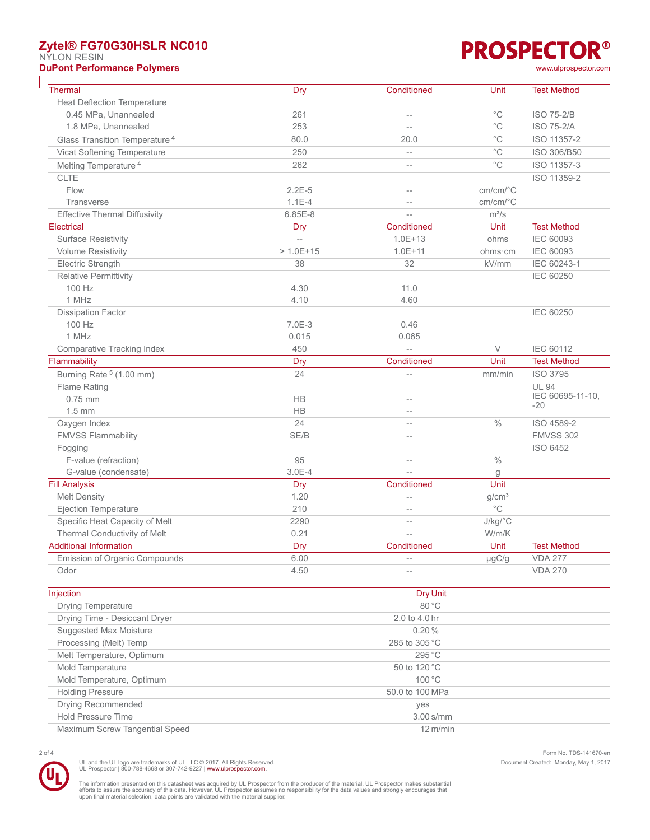# **Zytel® FG70G30HSLR NC010**

NYLON RESIN

**DuPont Performance Polymers** [www.ulprospector.com](http://www.ulprospector.com)

| Thermal                                   | Dry            | Conditioned              | Unit                                    | <b>Test Method</b> |
|-------------------------------------------|----------------|--------------------------|-----------------------------------------|--------------------|
| <b>Heat Deflection Temperature</b>        |                |                          |                                         |                    |
| 0.45 MPa, Unannealed                      | 261            |                          | $^{\circ}$ C                            | <b>ISO 75-2/B</b>  |
| 1.8 MPa, Unannealed                       | 253            | $\overline{\phantom{a}}$ | $^{\circ}$ C                            | <b>ISO 75-2/A</b>  |
| Glass Transition Temperature <sup>4</sup> | 80.0           | 20.0                     | $^{\circ}{\rm C}$                       | ISO 11357-2        |
| Vicat Softening Temperature               | 250            | $\overline{a}$           | $^{\circ}{\rm C}$                       | ISO 306/B50        |
| Melting Temperature <sup>4</sup>          | 262            | $\overline{\phantom{0}}$ | $^{\circ}$ C                            | ISO 11357-3        |
| <b>CLTE</b>                               |                |                          |                                         | ISO 11359-2        |
| Flow                                      | $2.2E-5$       |                          | $cm/cm$ <sup>o</sup> $C$                |                    |
| Transverse                                | $1.1E - 4$     | $\overline{\phantom{a}}$ | $cm/cm$ <sup><math>\circ</math></sup> C |                    |
| <b>Effective Thermal Diffusivity</b>      | $6.85E-8$      | $\overline{a}$           | $m^2/s$                                 |                    |
| Electrical                                | Dry            | Conditioned              | Unit                                    | <b>Test Method</b> |
| <b>Surface Resistivity</b>                | $\overline{a}$ | $1.0E + 13$              | ohms                                    | <b>IEC 60093</b>   |
| <b>Volume Resistivity</b>                 | $> 1.0E + 15$  | $1.0E + 11$              | ohms · cm                               | <b>IEC 60093</b>   |
| Electric Strength                         | 38             | 32                       | kV/mm                                   | IEC 60243-1        |
| <b>Relative Permittivity</b>              |                |                          |                                         | <b>IEC 60250</b>   |
| 100 Hz                                    | 4.30           | 11.0                     |                                         |                    |
| 1 MHz                                     | 4.10           | 4.60                     |                                         |                    |
| <b>Dissipation Factor</b>                 |                |                          |                                         | <b>IEC 60250</b>   |
| 100 Hz                                    | 7.0E-3         | 0.46                     |                                         |                    |
| 1 MHz                                     | 0.015          | 0.065                    |                                         |                    |
| Comparative Tracking Index                | 450            | $\overline{a}$           | $\vee$                                  | IEC 60112          |
| Flammability                              | Dry            | Conditioned              | Unit                                    | <b>Test Method</b> |
| Burning Rate <sup>5</sup> (1.00 mm)       | 24             | $\overline{a}$           | mm/min                                  | <b>ISO 3795</b>    |
| Flame Rating                              |                |                          |                                         | <b>UL 94</b>       |
| $0.75$ mm                                 | <b>HB</b>      | $-$                      |                                         | IEC 60695-11-10,   |
| $1.5$ mm                                  | <b>HB</b>      |                          |                                         | $-20$              |
| Oxygen Index                              | 24             | $\overline{\phantom{0}}$ | $\frac{0}{0}$                           | ISO 4589-2         |
| <b>FMVSS Flammability</b>                 | SE/B           | $\overline{\phantom{a}}$ |                                         | <b>FMVSS 302</b>   |
| Fogging                                   |                |                          |                                         | <b>ISO 6452</b>    |
| F-value (refraction)                      | 95             |                          | $\%$                                    |                    |
| G-value (condensate)                      | $3.0E - 4$     |                          | g                                       |                    |
| <b>Fill Analysis</b>                      | Dry            | Conditioned              | Unit                                    |                    |
| <b>Melt Density</b>                       | 1.20           | $\overline{\phantom{a}}$ | g/cm <sup>3</sup>                       |                    |
| <b>Ejection Temperature</b>               | 210            | $\overline{a}$           | $^{\circ}$ C                            |                    |
| Specific Heat Capacity of Melt            | 2290           | $\overline{\phantom{a}}$ | $J/kg$ <sup>°</sup> C                   |                    |
| Thermal Conductivity of Melt              | 0.21           | $\overline{\phantom{0}}$ | W/m/K                                   |                    |
| <b>Additional Information</b>             | Dry            | Conditioned              | Unit                                    | <b>Test Method</b> |
| Emission of Organic Compounds             | 6.00           |                          | µgC/g                                   | <b>VDA 277</b>     |
| Odor                                      | 4.50           | $\overline{\phantom{a}}$ |                                         | <b>VDA 270</b>     |
| Injection                                 |                | Dry Unit                 |                                         |                    |
| Drving Temperature                        | 80 °C          |                          |                                         |                    |

| <b>Drying Temperature</b>      | $80^{\circ}$ C     |
|--------------------------------|--------------------|
| Drying Time - Desiccant Dryer  | 2.0 to 4.0 hr      |
| Suggested Max Moisture         | 0.20%              |
| Processing (Melt) Temp         | 285 to 305 °C      |
| Melt Temperature, Optimum      | 295 °C             |
| Mold Temperature               | 50 to 120 °C       |
| Mold Temperature, Optimum      | 100 °C             |
| <b>Holding Pressure</b>        | 50.0 to 100 MPa    |
| Drying Recommended             | <b>ves</b>         |
| <b>Hold Pressure Time</b>      | $3.00$ s/mm        |
| Maximum Screw Tangential Speed | $12 \text{ m/min}$ |

UL and the UL logo are trademarks of UL LLC © 2017. All Rights Reserved.<br>UL Prospector | 800-788-4668 or 307-742-9227 | [www.ulprospector.com](http://www.ulprospector.com).

2 of 4 Form No. TDS-141670-en Document Created: Monday, May 1, 2017

The information presented on this datasheet was acquired by UL Prospector from the producer of the material. UL Prospector makes substantial<br>efforts to assure the accuracy of this data. However, UL Prospector assumes no re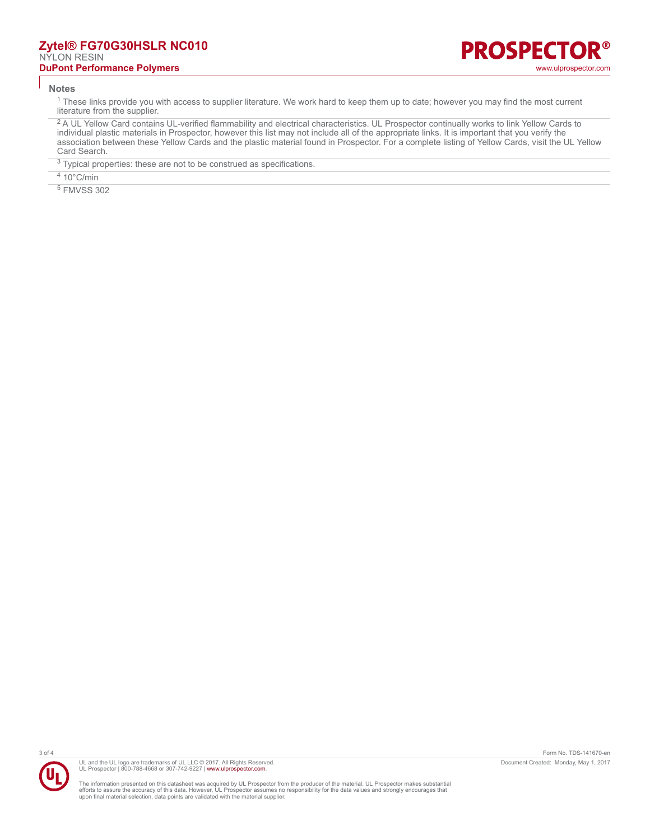### **Zytel® FG70G30HSLR NC010** NYLON RESIN **DuPont Performance Polymers** [www.ulprospector.com](http://www.ulprospector.com)

#### **Notes**

<sup>1</sup> These links provide you with access to supplier literature. We work hard to keep them up to date; however you may find the most current literature from the supplier.

<sup>2</sup> A UL Yellow Card contains UL-verified flammability and electrical characteristics. UL Prospector continually works to link Yellow Cards to individual plastic materials in Prospector, however this list may not include all of the appropriate links. It is important that you verify the association between these Yellow Cards and the plastic material found in Prospector. For a complete listing of Yellow Cards, visit the UL Yellow Card Search.

 $3$  Typical properties: these are not to be construed as specifications.

 $410^{\circ}$ C/min

5 FMVSS 302



UL and the UL logo are trademarks of UL LLC © 2017. All Rights Reserved. UL Prospector | 800-788-4668 or 307-742-9227 | [www.ulprospector.com](http://www.ulprospector.com).

The information presented on this datasheet was acquired by UL Prospector from the producer of the material. UL Prospector makes substantial<br>efforts to assure the accuracy of this data. However, UL Prospector assumes no re